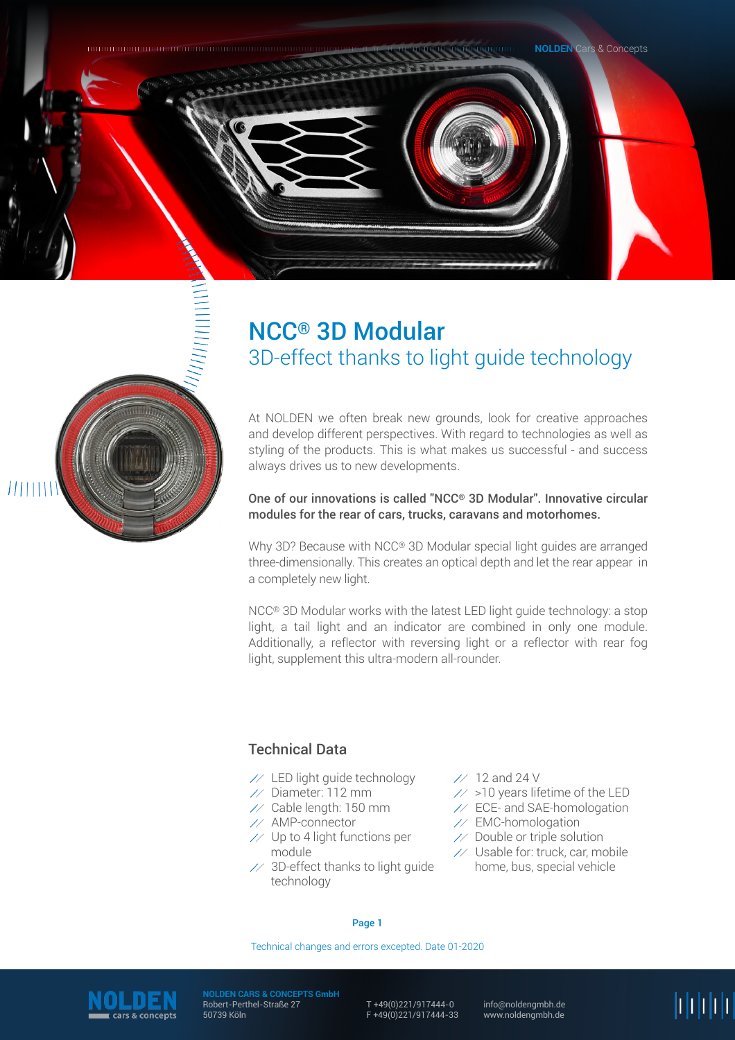



# NCC® 3D Modular 3D-effect thanks to light guide technology

At NOLDEN we often break new grounds, look for creative approaches and develop different perspectives. With regard to technologies as well as styling of the products. This is what makes us successful - and success always drives us to new developments.

## One of our innovations is called "NCC® 3D Modular". Innovative circular modules for the rear of cars, trucks, caravans and motorhomes.

Why 3D? Because with NCC® 3D Modular special light guides are arranged three-dimensionally. This creates an optical depth and let the rear appear in a completely new light.

NCC® 3D Modular works with the latest LED light guide technology: a stop light, a tail light and an indicator are combined in only one module. Additionally, a reflector with reversing light or a reflector with rear fog light, supplement this ultra-modern all-rounder.

# Technical Data

- $\frac{1}{2}$  LED light guide technology
- $\frac{1}{2}$  Diameter: 112 mm
- $\frac{1}{2}$  Cable length: 150 mm
- $\n *AMP-connector*\n$
- $\frac{1}{2}$  Up to 4 light functions per module
- 3D-effect thanks to light guide technology
- $\frac{1}{2}$  12 and 24 V
- $\frac{1}{2}$  >10 years lifetime of the LED
- $\frac{1}{2}$  ECE- and SAE-homologation
- EMC-homologation
- $\angle$  Double or triple solution
- $\frac{1}{2}$  Usable for: truck, car, mobile home, bus, special vehicle

#### Page 1

Technical changes and errors excepted. Date 01-2020



**NOLDEN CARS & CONCEPTS GmbH** Robert-Perthel-Straße 27 50739 Köln

T +49(0)221/917444-0 F +49(0)221/917444-33

info@noldengmbh.de www.noldengmbh.de